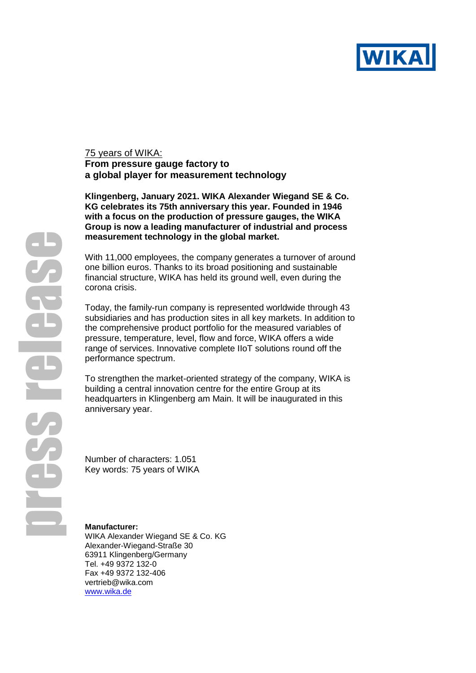

## 75 years of WIKA: **From pressure gauge factory to a global player for measurement technology**

**Klingenberg, January 2021. WIKA Alexander Wiegand SE & Co. KG celebrates its 75th anniversary this year. Founded in 1946 with a focus on the production of pressure gauges, the WIKA Group is now a leading manufacturer of industrial and process measurement technology in the global market.**

With 11,000 employees, the company generates a turnover of around one billion euros. Thanks to its broad positioning and sustainable financial structure, WIKA has held its ground well, even during the corona crisis.

Today, the family-run company is represented worldwide through 43 subsidiaries and has production sites in all key markets. In addition to the comprehensive product portfolio for the measured variables of pressure, temperature, level, flow and force, WIKA offers a wide range of services. Innovative complete IIoT solutions round off the performance spectrum.

To strengthen the market-oriented strategy of the company, WIKA is building a central innovation centre for the entire Group at its headquarters in Klingenberg am Main. It will be inaugurated in this anniversary year.

Number of characters: 1.051 Key words: 75 years of WIKA

## **Manufacturer:**

WIKA Alexander Wiegand SE & Co. KG Alexander-Wiegand-Straße 30 63911 Klingenberg/Germany Tel. +49 9372 132-0 Fax +49 9372 132-406 vertrieb@wika.com [www.wika.de](http://www.wika.de/)